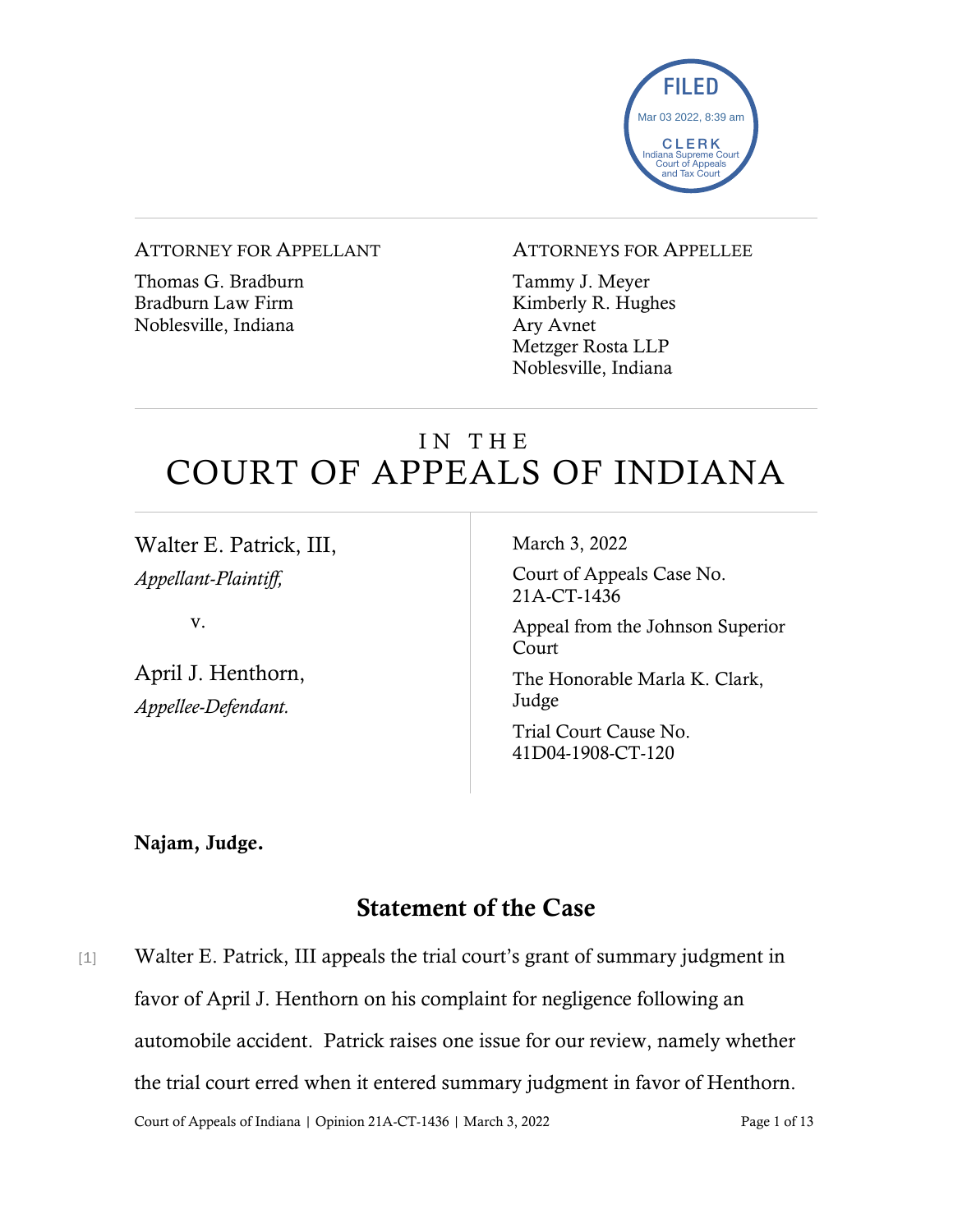

#### ATTORNEY FOR APPELLANT

Thomas G. Bradburn Bradburn Law Firm Noblesville, Indiana

#### ATTORNEYS FOR APPELLEE

Tammy J. Meyer Kimberly R. Hughes Ary Avnet Metzger Rosta LLP Noblesville, Indiana

# IN THE COURT OF APPEALS OF INDIANA

Walter E. Patrick, III, *Appellant-Plaintiff,*

v.

April J. Henthorn, *Appellee-Defendant.*

March 3, 2022

Court of Appeals Case No. 21A-CT-1436

Appeal from the Johnson Superior Court

The Honorable Marla K. Clark, Judge

Trial Court Cause No. 41D04-1908-CT-120

Najam, Judge.

## Statement of the Case

Court of Appeals of Indiana | Opinion 21A-CT-1436 | March 3, 2022 Page 1 of 13 [1] Walter E. Patrick, III appeals the trial court's grant of summary judgment in favor of April J. Henthorn on his complaint for negligence following an automobile accident. Patrick raises one issue for our review, namely whether the trial court erred when it entered summary judgment in favor of Henthorn.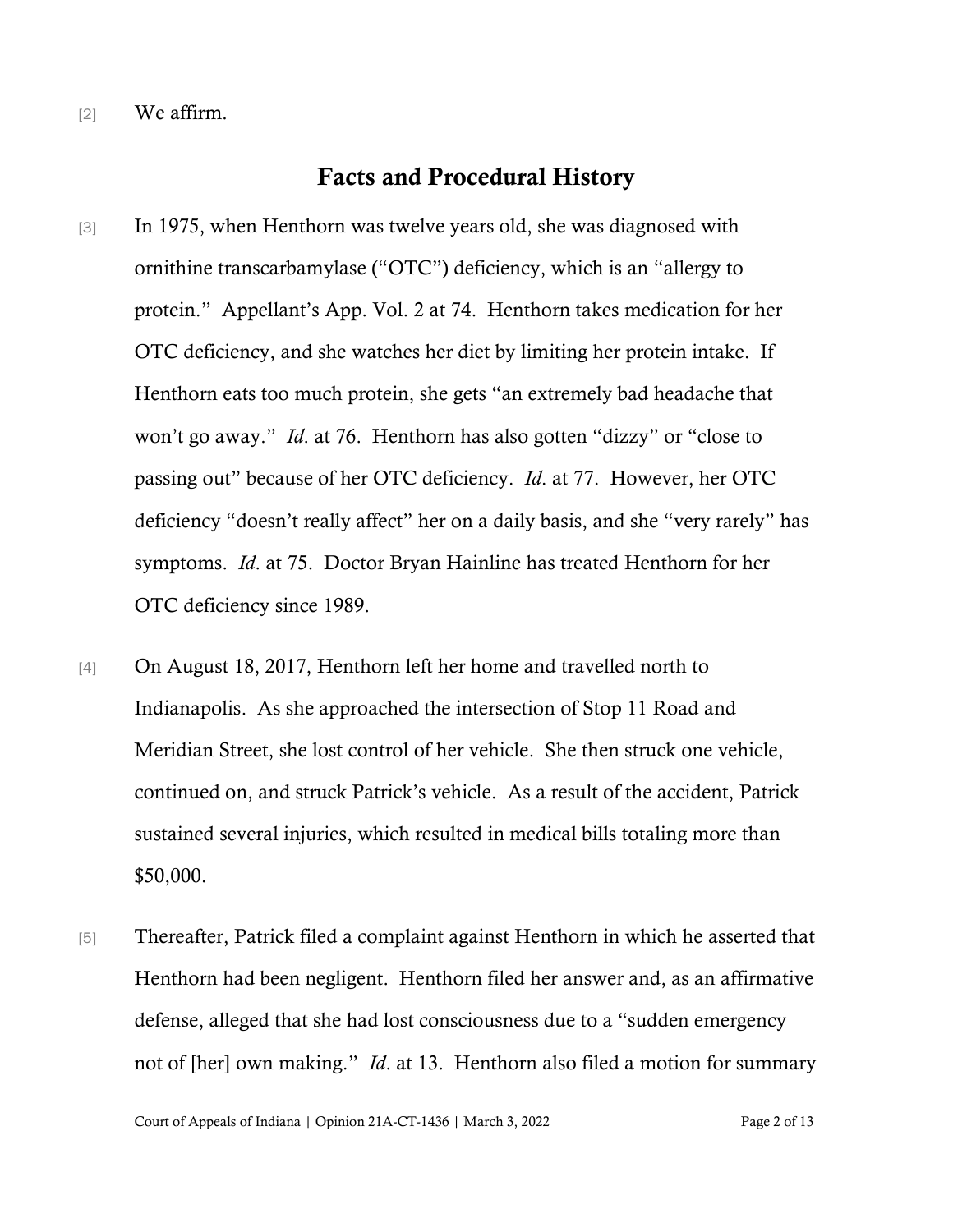[2] We affirm.

### Facts and Procedural History

- [3] In 1975, when Henthorn was twelve years old, she was diagnosed with ornithine transcarbamylase ("OTC") deficiency, which is an "allergy to protein." Appellant's App. Vol. 2 at 74. Henthorn takes medication for her OTC deficiency, and she watches her diet by limiting her protein intake. If Henthorn eats too much protein, she gets "an extremely bad headache that won't go away." *Id*. at 76. Henthorn has also gotten "dizzy" or "close to passing out" because of her OTC deficiency. *Id*. at 77. However, her OTC deficiency "doesn't really affect" her on a daily basis, and she "very rarely" has symptoms. *Id*. at 75. Doctor Bryan Hainline has treated Henthorn for her OTC deficiency since 1989.
- [4] On August 18, 2017, Henthorn left her home and travelled north to Indianapolis. As she approached the intersection of Stop 11 Road and Meridian Street, she lost control of her vehicle. She then struck one vehicle, continued on, and struck Patrick's vehicle. As a result of the accident, Patrick sustained several injuries, which resulted in medical bills totaling more than \$50,000.
- [5] Thereafter, Patrick filed a complaint against Henthorn in which he asserted that Henthorn had been negligent. Henthorn filed her answer and, as an affirmative defense, alleged that she had lost consciousness due to a "sudden emergency not of [her] own making." *Id*. at 13. Henthorn also filed a motion for summary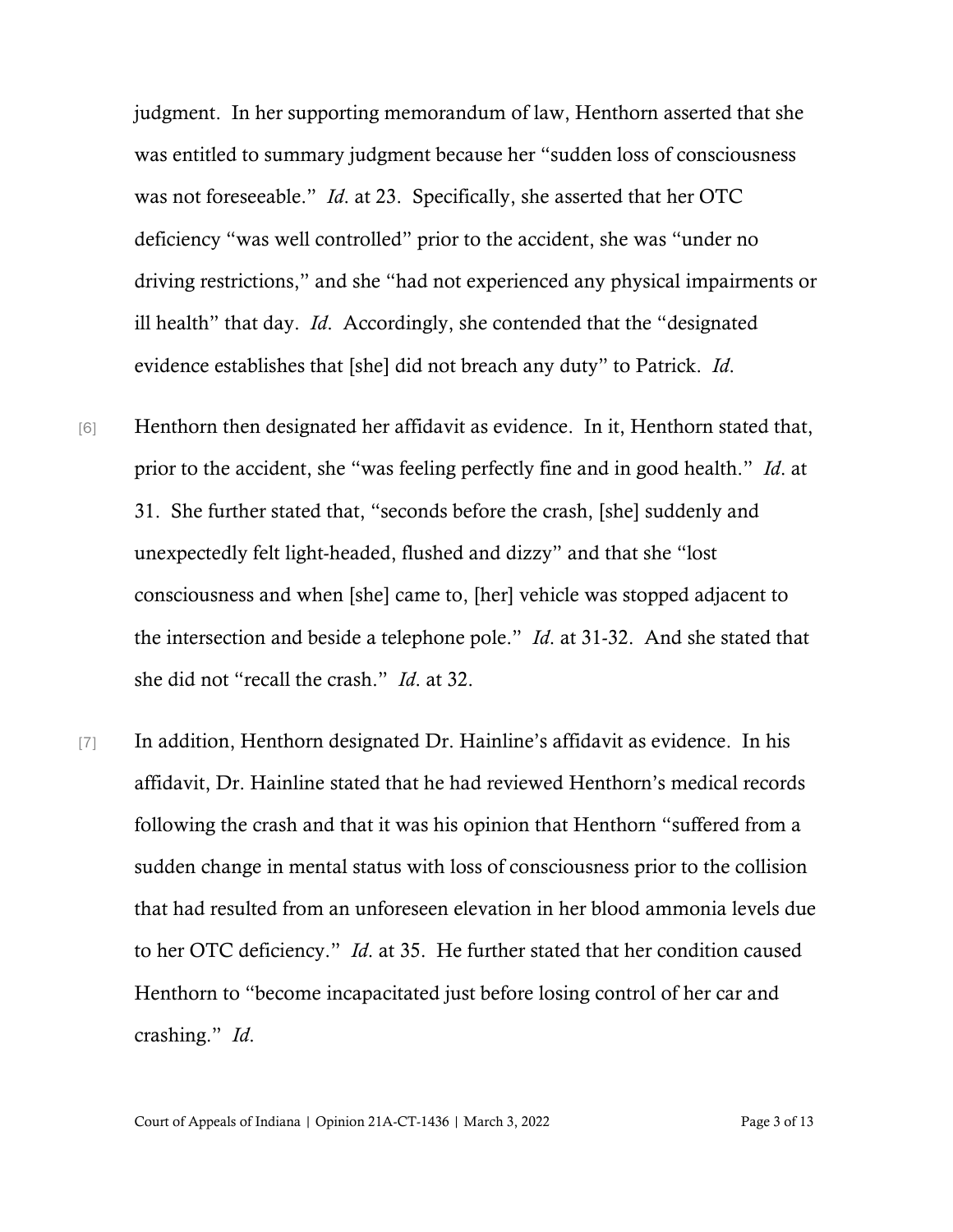judgment. In her supporting memorandum of law, Henthorn asserted that she was entitled to summary judgment because her "sudden loss of consciousness was not foreseeable." *Id*. at 23. Specifically, she asserted that her OTC deficiency "was well controlled" prior to the accident, she was "under no driving restrictions," and she "had not experienced any physical impairments or ill health" that day. *Id*. Accordingly, she contended that the "designated evidence establishes that [she] did not breach any duty" to Patrick. *Id*.

- [6] Henthorn then designated her affidavit as evidence. In it, Henthorn stated that, prior to the accident, she "was feeling perfectly fine and in good health." *Id*. at 31. She further stated that, "seconds before the crash, [she] suddenly and unexpectedly felt light-headed, flushed and dizzy" and that she "lost consciousness and when [she] came to, [her] vehicle was stopped adjacent to the intersection and beside a telephone pole." *Id*. at 31-32. And she stated that she did not "recall the crash." *Id*. at 32.
- [7] In addition, Henthorn designated Dr. Hainline's affidavit as evidence. In his affidavit, Dr. Hainline stated that he had reviewed Henthorn's medical records following the crash and that it was his opinion that Henthorn "suffered from a sudden change in mental status with loss of consciousness prior to the collision that had resulted from an unforeseen elevation in her blood ammonia levels due to her OTC deficiency." *Id*. at 35. He further stated that her condition caused Henthorn to "become incapacitated just before losing control of her car and crashing." *Id*.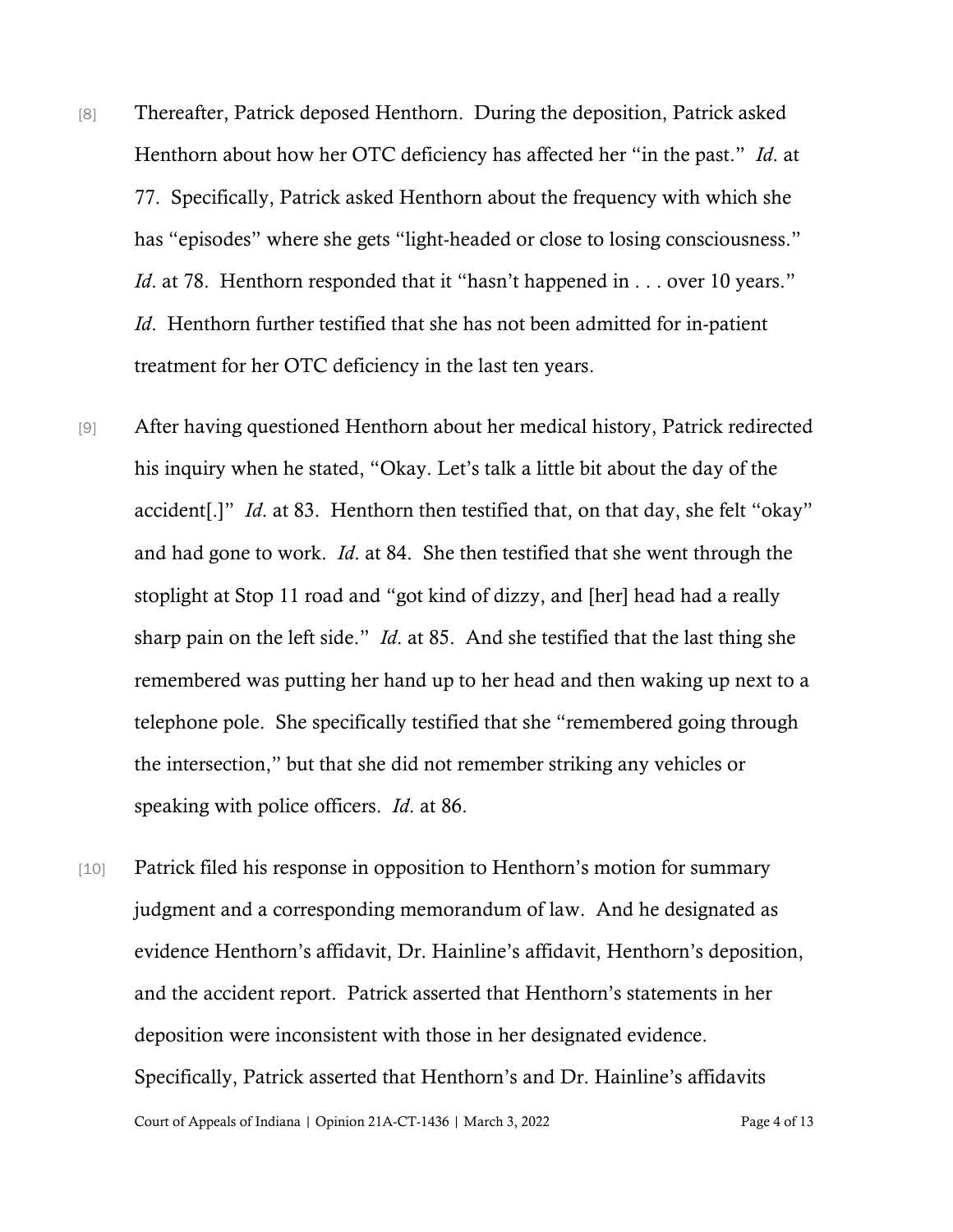- [8] Thereafter, Patrick deposed Henthorn. During the deposition, Patrick asked Henthorn about how her OTC deficiency has affected her "in the past." *Id*. at 77. Specifically, Patrick asked Henthorn about the frequency with which she has "episodes" where she gets "light-headed or close to losing consciousness." *Id.* at 78. Henthorn responded that it "hasn't happened in . . . over 10 years." *Id*. Henthorn further testified that she has not been admitted for in-patient treatment for her OTC deficiency in the last ten years.
- [9] After having questioned Henthorn about her medical history, Patrick redirected his inquiry when he stated, "Okay. Let's talk a little bit about the day of the accident[.]" *Id*. at 83. Henthorn then testified that, on that day, she felt "okay" and had gone to work. *Id*. at 84. She then testified that she went through the stoplight at Stop 11 road and "got kind of dizzy, and [her] head had a really sharp pain on the left side." *Id*. at 85. And she testified that the last thing she remembered was putting her hand up to her head and then waking up next to a telephone pole. She specifically testified that she "remembered going through the intersection," but that she did not remember striking any vehicles or speaking with police officers. *Id*. at 86.
- Court of Appeals of Indiana | Opinion 21A-CT-1436 | March 3, 2022 Page 4 of 13 [10] Patrick filed his response in opposition to Henthorn's motion for summary judgment and a corresponding memorandum of law. And he designated as evidence Henthorn's affidavit, Dr. Hainline's affidavit, Henthorn's deposition, and the accident report. Patrick asserted that Henthorn's statements in her deposition were inconsistent with those in her designated evidence. Specifically, Patrick asserted that Henthorn's and Dr. Hainline's affidavits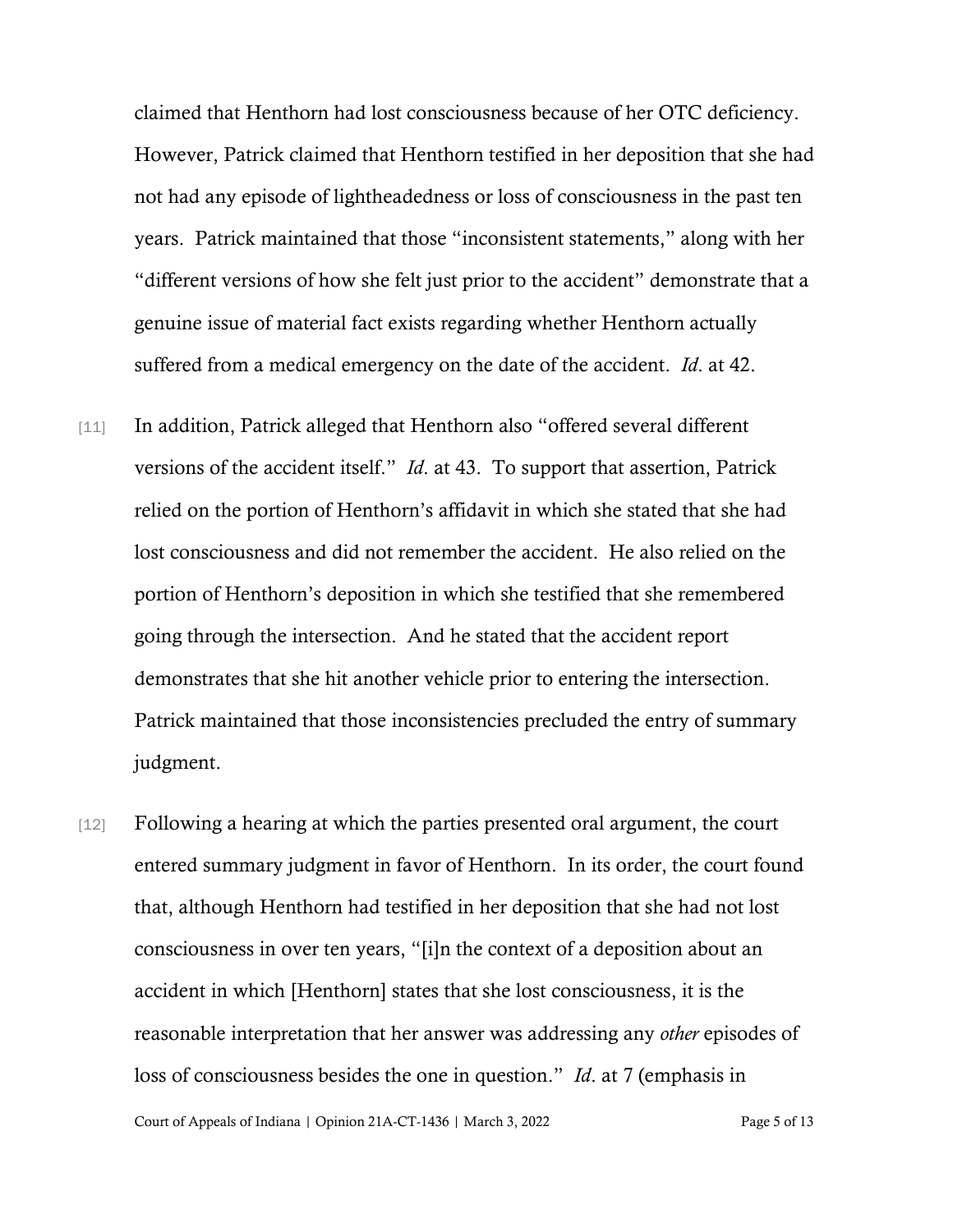claimed that Henthorn had lost consciousness because of her OTC deficiency. However, Patrick claimed that Henthorn testified in her deposition that she had not had any episode of lightheadedness or loss of consciousness in the past ten years. Patrick maintained that those "inconsistent statements," along with her "different versions of how she felt just prior to the accident" demonstrate that a genuine issue of material fact exists regarding whether Henthorn actually suffered from a medical emergency on the date of the accident. *Id*. at 42.

- [11] In addition, Patrick alleged that Henthorn also "offered several different versions of the accident itself." *Id*. at 43. To support that assertion, Patrick relied on the portion of Henthorn's affidavit in which she stated that she had lost consciousness and did not remember the accident. He also relied on the portion of Henthorn's deposition in which she testified that she remembered going through the intersection. And he stated that the accident report demonstrates that she hit another vehicle prior to entering the intersection. Patrick maintained that those inconsistencies precluded the entry of summary judgment.
- [12] Following a hearing at which the parties presented oral argument, the court entered summary judgment in favor of Henthorn. In its order, the court found that, although Henthorn had testified in her deposition that she had not lost consciousness in over ten years, "[i]n the context of a deposition about an accident in which [Henthorn] states that she lost consciousness, it is the reasonable interpretation that her answer was addressing any *other* episodes of loss of consciousness besides the one in question." *Id*. at 7 (emphasis in

Court of Appeals of Indiana | Opinion 21A-CT-1436 | March 3, 2022 Page 5 of 13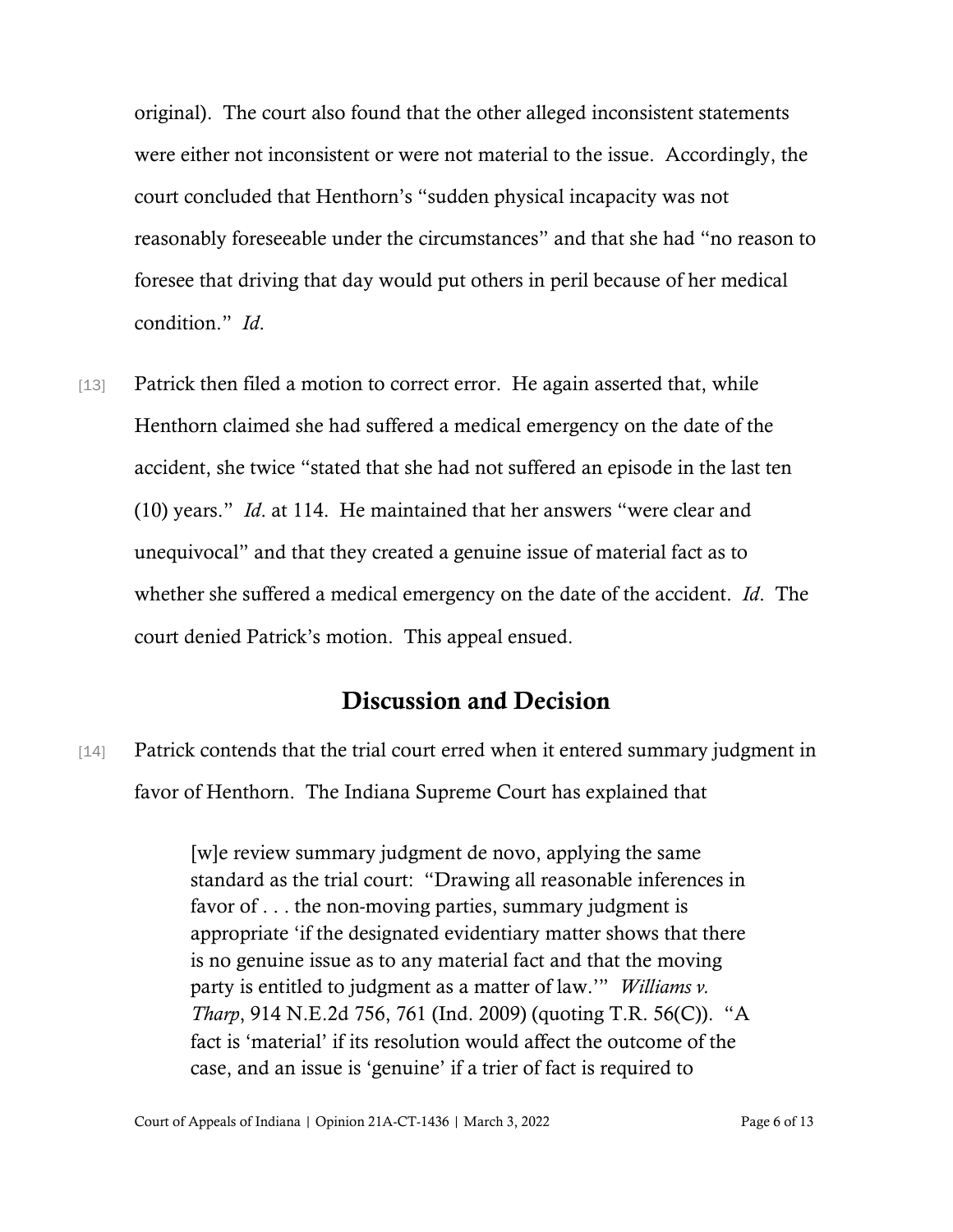original). The court also found that the other alleged inconsistent statements were either not inconsistent or were not material to the issue. Accordingly, the court concluded that Henthorn's "sudden physical incapacity was not reasonably foreseeable under the circumstances" and that she had "no reason to foresee that driving that day would put others in peril because of her medical condition." *Id*.

[13] Patrick then filed a motion to correct error. He again asserted that, while Henthorn claimed she had suffered a medical emergency on the date of the accident, she twice "stated that she had not suffered an episode in the last ten (10) years." *Id*. at 114. He maintained that her answers "were clear and unequivocal" and that they created a genuine issue of material fact as to whether she suffered a medical emergency on the date of the accident. *Id*. The court denied Patrick's motion. This appeal ensued.

### Discussion and Decision

[14] Patrick contends that the trial court erred when it entered summary judgment in favor of Henthorn. The Indiana Supreme Court has explained that

> [w]e review summary judgment de novo, applying the same standard as the trial court: "Drawing all reasonable inferences in favor of . . . the non-moving parties, summary judgment is appropriate 'if the designated evidentiary matter shows that there is no genuine issue as to any material fact and that the moving party is entitled to judgment as a matter of law.'" *Williams v. Tharp*, 914 N.E.2d 756, 761 (Ind. 2009) (quoting T.R. 56(C)). "A fact is 'material' if its resolution would affect the outcome of the case, and an issue is 'genuine' if a trier of fact is required to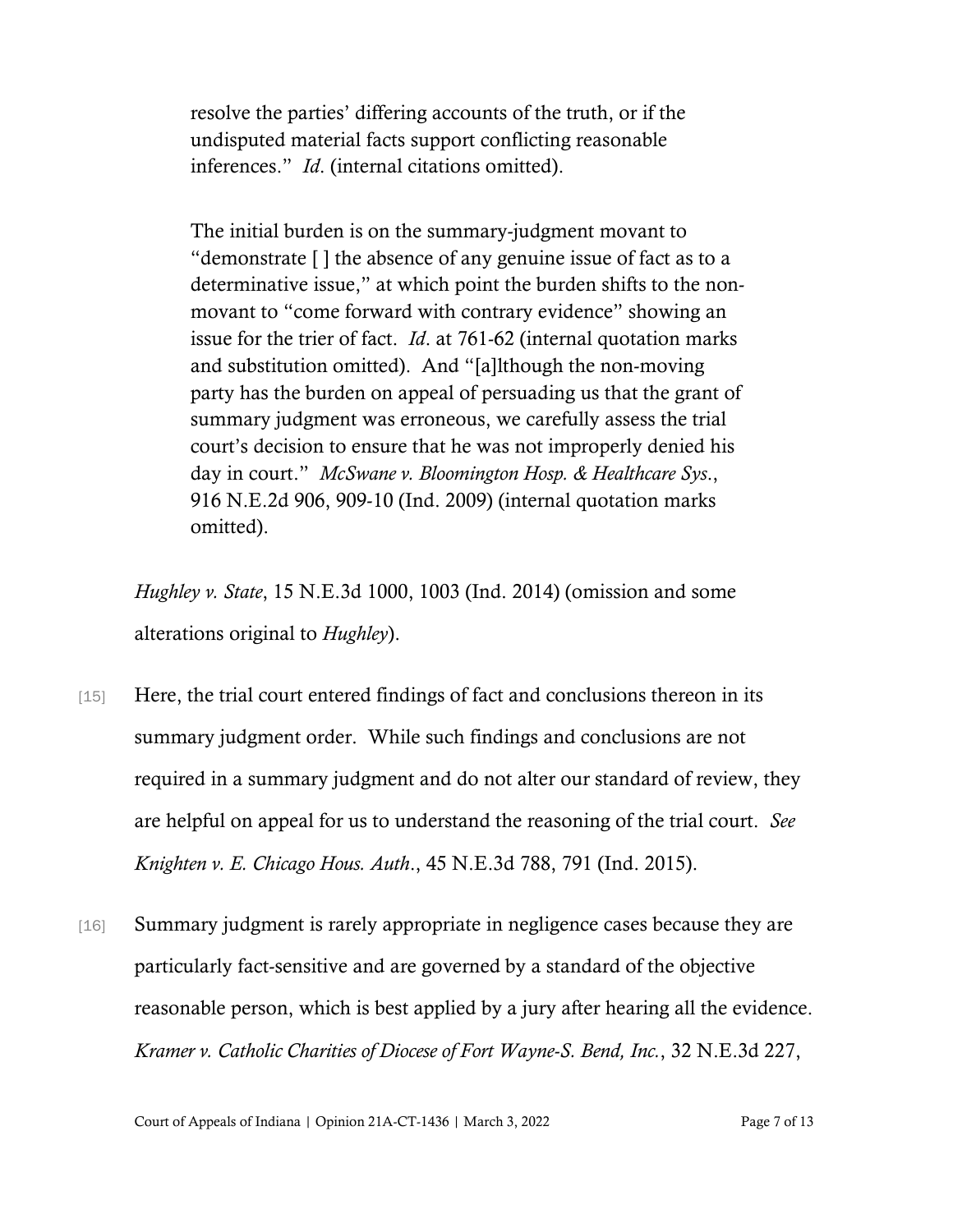resolve the parties' differing accounts of the truth, or if the undisputed material facts support conflicting reasonable inferences." *Id*. (internal citations omitted).

The initial burden is on the summary-judgment movant to "demonstrate [ ] the absence of any genuine issue of fact as to a determinative issue," at which point the burden shifts to the nonmovant to "come forward with contrary evidence" showing an issue for the trier of fact. *Id*. at 761-62 (internal quotation marks and substitution omitted). And "[a]lthough the non-moving party has the burden on appeal of persuading us that the grant of summary judgment was erroneous, we carefully assess the trial court's decision to ensure that he was not improperly denied his day in court." *McSwane v. Bloomington Hosp. & Healthcare Sys*., 916 N.E.2d 906, 909-10 (Ind. 2009) (internal quotation marks omitted).

*Hughley v. State*, 15 N.E.3d 1000, 1003 (Ind. 2014) (omission and some alterations original to *Hughley*).

- [15] Here, the trial court entered findings of fact and conclusions thereon in its summary judgment order. While such findings and conclusions are not required in a summary judgment and do not alter our standard of review, they are helpful on appeal for us to understand the reasoning of the trial court. *See Knighten v. E. Chicago Hous. Auth*., 45 N.E.3d 788, 791 (Ind. 2015).
- [16] Summary judgment is rarely appropriate in negligence cases because they are particularly fact-sensitive and are governed by a standard of the objective reasonable person, which is best applied by a jury after hearing all the evidence. *Kramer v. Catholic Charities of Diocese of Fort Wayne-S. Bend, Inc.*, 32 N.E.3d 227,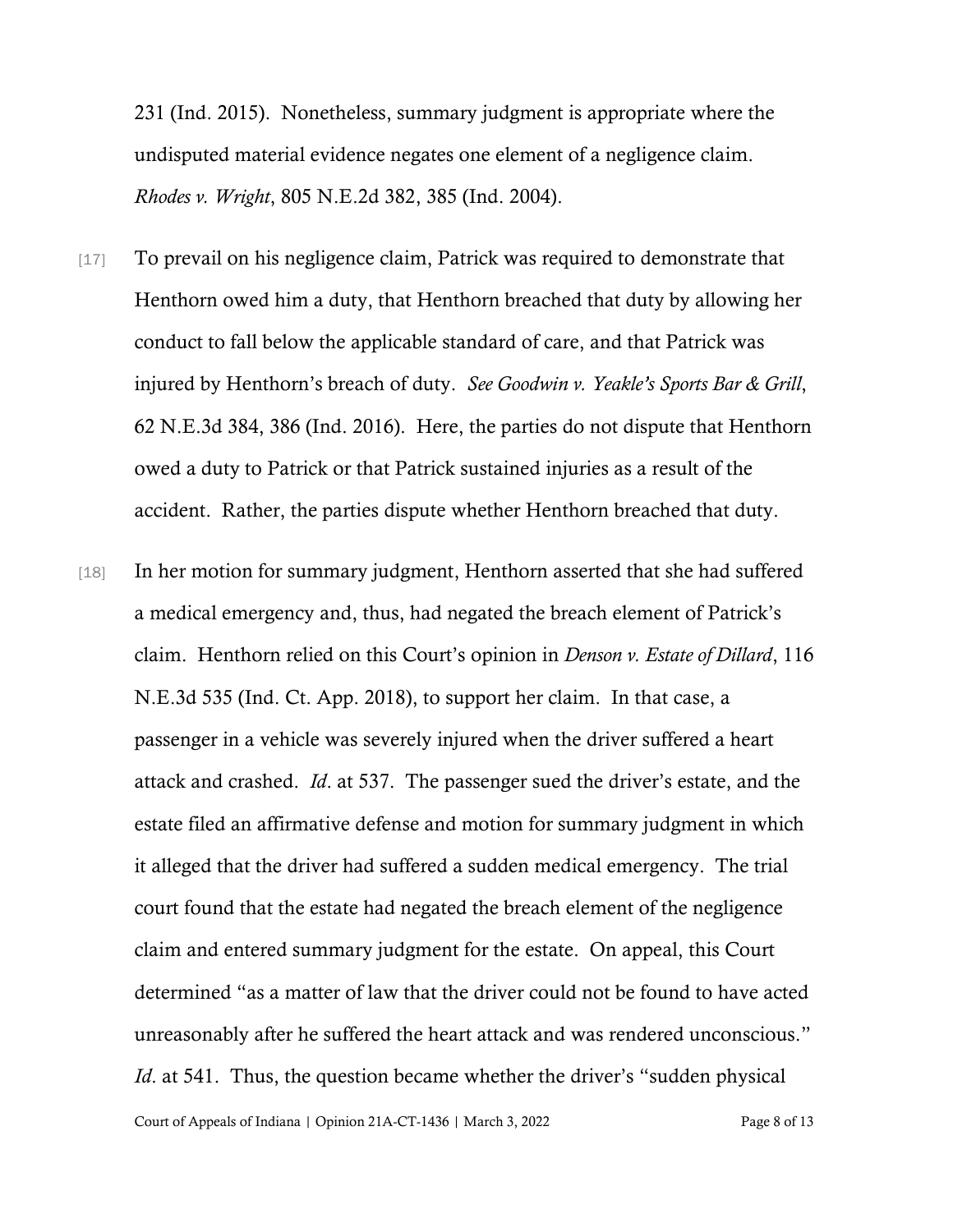231 (Ind. 2015). Nonetheless, summary judgment is appropriate where the undisputed material evidence negates one element of a negligence claim. *Rhodes v. Wright*, 805 N.E.2d 382, 385 (Ind. 2004).

- [17] To prevail on his negligence claim, Patrick was required to demonstrate that Henthorn owed him a duty, that Henthorn breached that duty by allowing her conduct to fall below the applicable standard of care, and that Patrick was injured by Henthorn's breach of duty. *See Goodwin v. Yeakle's Sports Bar & Grill*, 62 N.E.3d 384, 386 (Ind. 2016). Here, the parties do not dispute that Henthorn owed a duty to Patrick or that Patrick sustained injuries as a result of the accident. Rather, the parties dispute whether Henthorn breached that duty.
- [18] In her motion for summary judgment, Henthorn asserted that she had suffered a medical emergency and, thus, had negated the breach element of Patrick's claim. Henthorn relied on this Court's opinion in *Denson v. Estate of Dillard*, 116 N.E.3d 535 (Ind. Ct. App. 2018), to support her claim. In that case, a passenger in a vehicle was severely injured when the driver suffered a heart attack and crashed. *Id*. at 537. The passenger sued the driver's estate, and the estate filed an affirmative defense and motion for summary judgment in which it alleged that the driver had suffered a sudden medical emergency. The trial court found that the estate had negated the breach element of the negligence claim and entered summary judgment for the estate. On appeal, this Court determined "as a matter of law that the driver could not be found to have acted unreasonably after he suffered the heart attack and was rendered unconscious." *Id.* at 541. Thus, the question became whether the driver's "sudden physical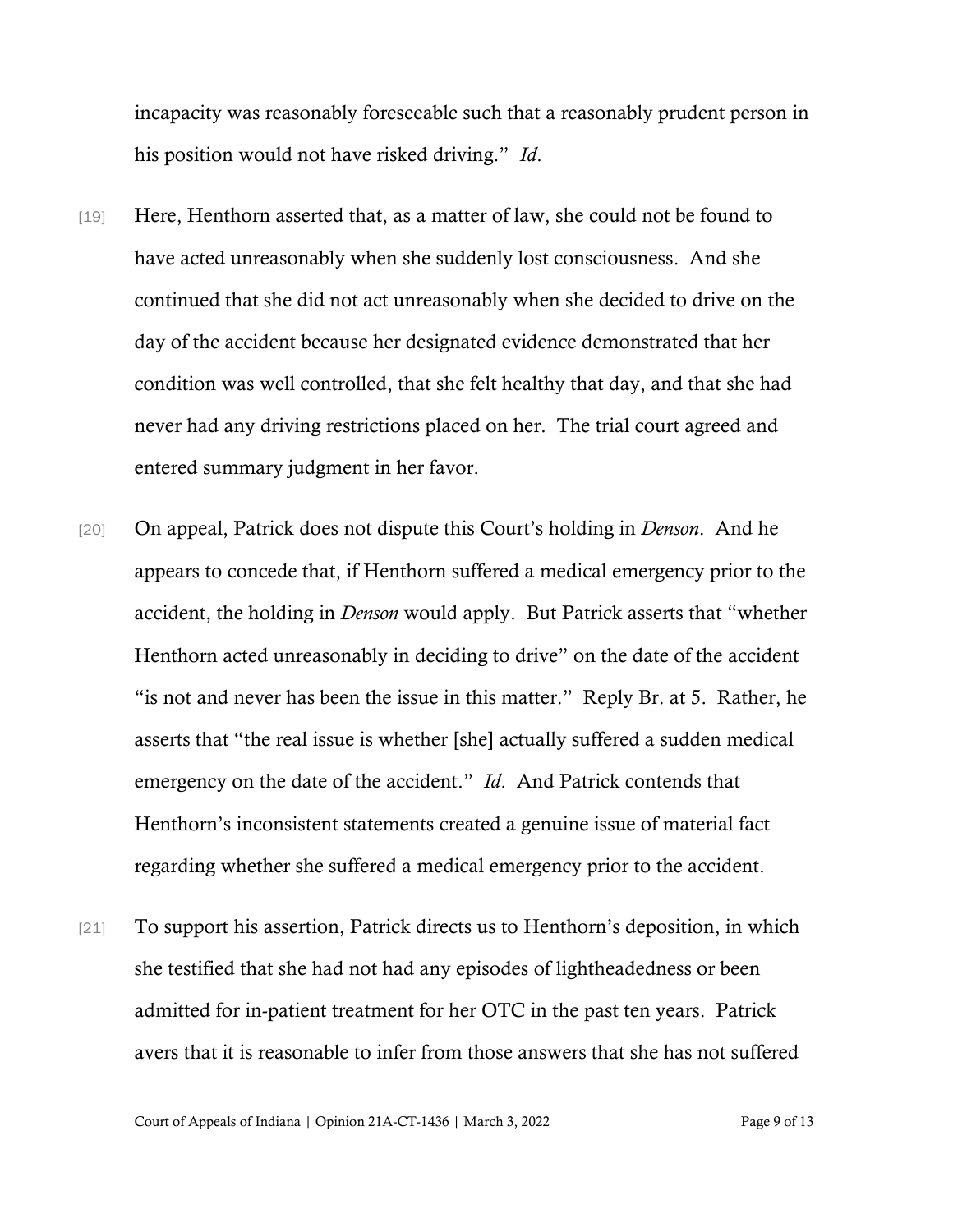incapacity was reasonably foreseeable such that a reasonably prudent person in his position would not have risked driving." *Id*.

- [19] Here, Henthorn asserted that, as a matter of law, she could not be found to have acted unreasonably when she suddenly lost consciousness. And she continued that she did not act unreasonably when she decided to drive on the day of the accident because her designated evidence demonstrated that her condition was well controlled, that she felt healthy that day, and that she had never had any driving restrictions placed on her. The trial court agreed and entered summary judgment in her favor.
- [20] On appeal, Patrick does not dispute this Court's holding in *Denson*. And he appears to concede that, if Henthorn suffered a medical emergency prior to the accident, the holding in *Denson* would apply. But Patrick asserts that "whether Henthorn acted unreasonably in deciding to drive" on the date of the accident "is not and never has been the issue in this matter." Reply Br. at 5. Rather, he asserts that "the real issue is whether [she] actually suffered a sudden medical emergency on the date of the accident." *Id*. And Patrick contends that Henthorn's inconsistent statements created a genuine issue of material fact regarding whether she suffered a medical emergency prior to the accident.
- [21] To support his assertion, Patrick directs us to Henthorn's deposition, in which she testified that she had not had any episodes of lightheadedness or been admitted for in-patient treatment for her OTC in the past ten years. Patrick avers that it is reasonable to infer from those answers that she has not suffered

Court of Appeals of Indiana | Opinion 21A-CT-1436 | March 3, 2022 Page 9 of 13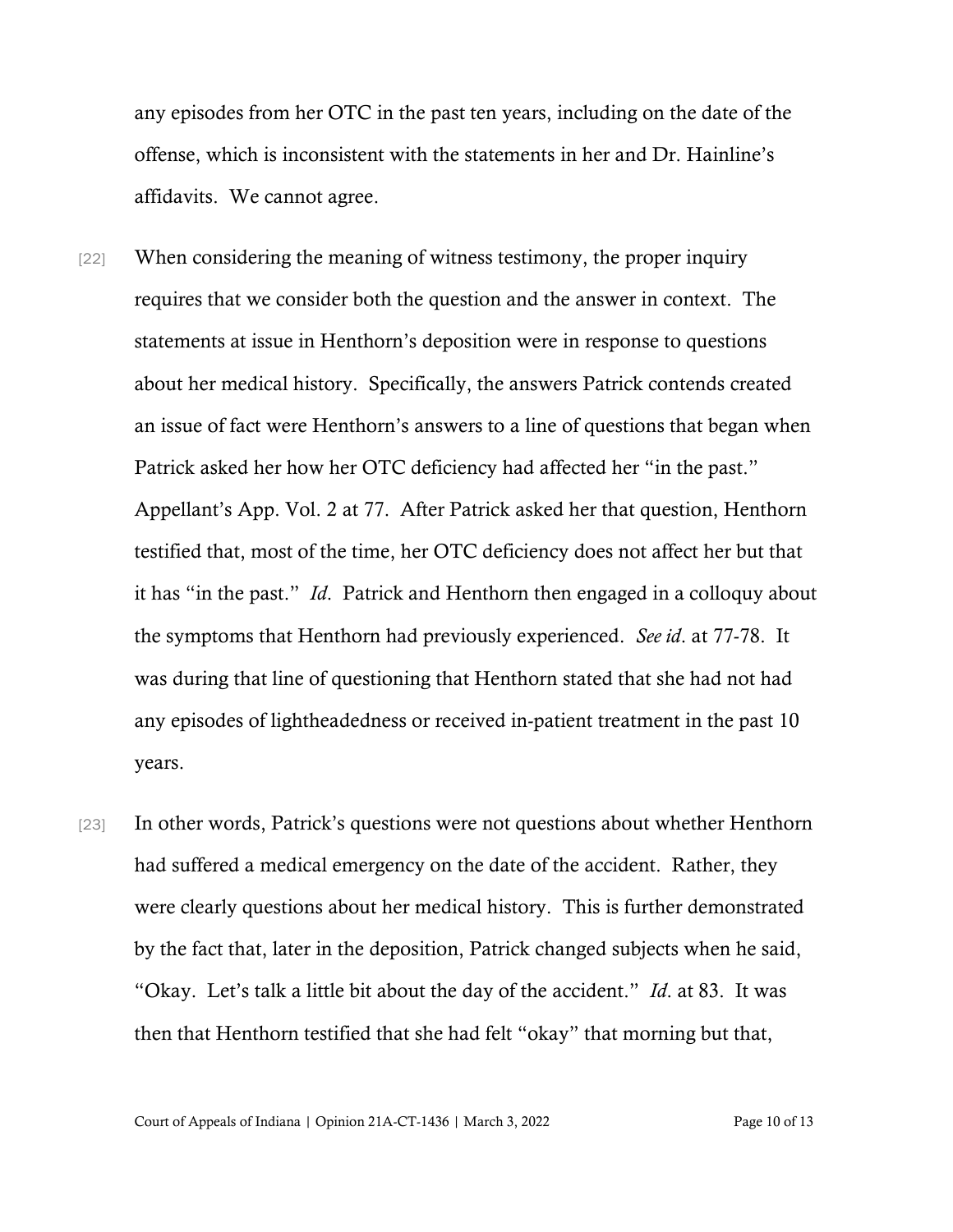any episodes from her OTC in the past ten years, including on the date of the offense, which is inconsistent with the statements in her and Dr. Hainline's affidavits. We cannot agree.

- [22] When considering the meaning of witness testimony, the proper inquiry requires that we consider both the question and the answer in context. The statements at issue in Henthorn's deposition were in response to questions about her medical history. Specifically, the answers Patrick contends created an issue of fact were Henthorn's answers to a line of questions that began when Patrick asked her how her OTC deficiency had affected her "in the past." Appellant's App. Vol. 2 at 77. After Patrick asked her that question, Henthorn testified that, most of the time, her OTC deficiency does not affect her but that it has "in the past." *Id*. Patrick and Henthorn then engaged in a colloquy about the symptoms that Henthorn had previously experienced. *See id*. at 77-78. It was during that line of questioning that Henthorn stated that she had not had any episodes of lightheadedness or received in-patient treatment in the past 10 years.
- [23] In other words, Patrick's questions were not questions about whether Henthorn had suffered a medical emergency on the date of the accident. Rather, they were clearly questions about her medical history. This is further demonstrated by the fact that, later in the deposition, Patrick changed subjects when he said, "Okay. Let's talk a little bit about the day of the accident." *Id*. at 83. It was then that Henthorn testified that she had felt "okay" that morning but that,

Court of Appeals of Indiana | Opinion 21A-CT-1436 | March 3, 2022 Page 10 of 13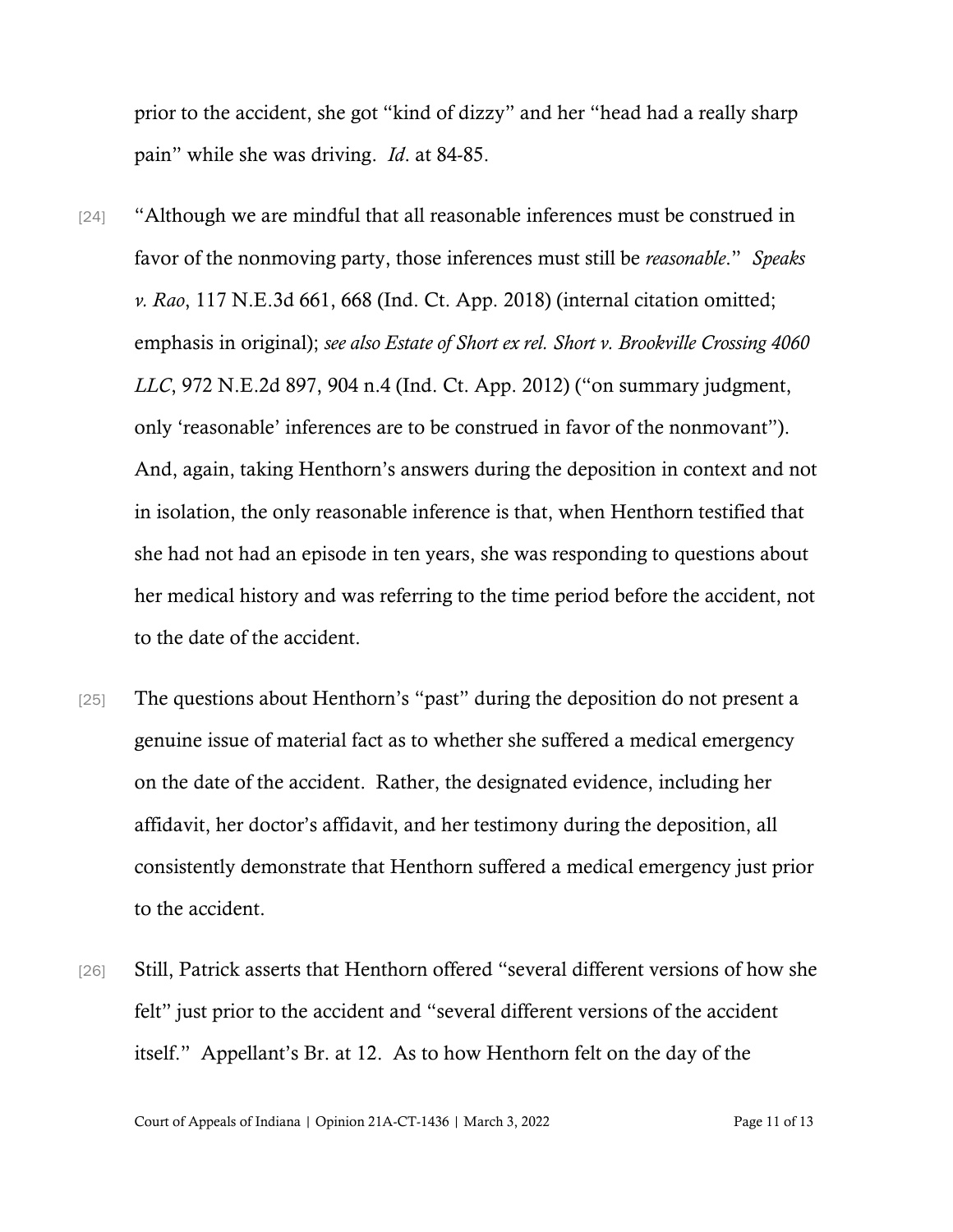prior to the accident, she got "kind of dizzy" and her "head had a really sharp pain" while she was driving. *Id*. at 84-85.

- [24] "Although we are mindful that all reasonable inferences must be construed in favor of the nonmoving party, those inferences must still be *reasonable*." *Speaks v. Rao*, 117 N.E.3d 661, 668 (Ind. Ct. App. 2018) (internal citation omitted; emphasis in original); *see also Estate of Short ex rel. Short v. Brookville Crossing 4060 LLC*, 972 N.E.2d 897, 904 n.4 (Ind. Ct. App. 2012) ("on summary judgment, only 'reasonable' inferences are to be construed in favor of the nonmovant"). And, again, taking Henthorn's answers during the deposition in context and not in isolation, the only reasonable inference is that, when Henthorn testified that she had not had an episode in ten years, she was responding to questions about her medical history and was referring to the time period before the accident, not to the date of the accident.
- [25] The questions about Henthorn's "past" during the deposition do not present a genuine issue of material fact as to whether she suffered a medical emergency on the date of the accident. Rather, the designated evidence, including her affidavit, her doctor's affidavit, and her testimony during the deposition, all consistently demonstrate that Henthorn suffered a medical emergency just prior to the accident.
- [26] Still, Patrick asserts that Henthorn offered "several different versions of how she felt" just prior to the accident and "several different versions of the accident itself." Appellant's Br. at 12. As to how Henthorn felt on the day of the

Court of Appeals of Indiana | Opinion 21A-CT-1436 | March 3, 2022 Page 11 of 13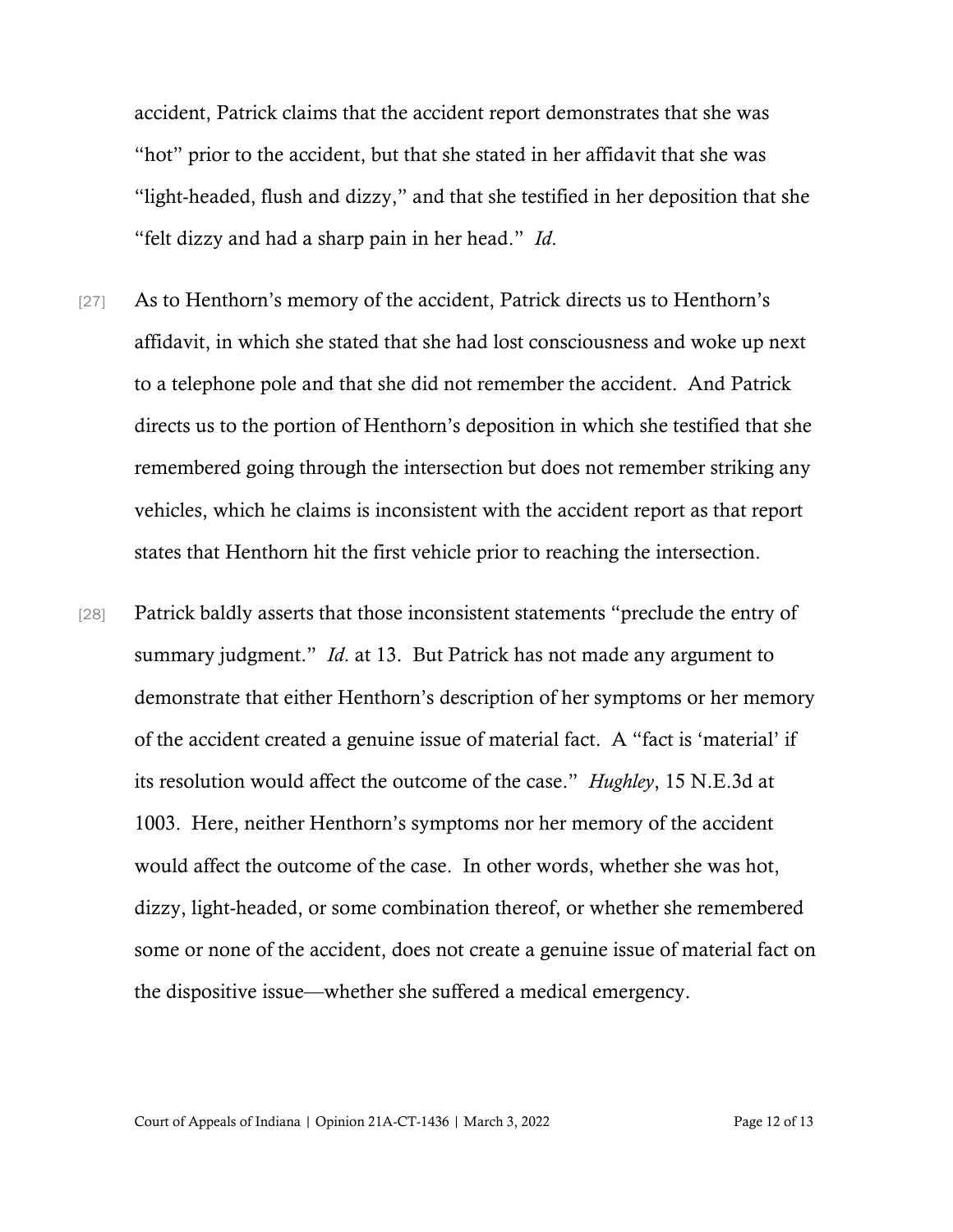accident, Patrick claims that the accident report demonstrates that she was "hot" prior to the accident, but that she stated in her affidavit that she was "light-headed, flush and dizzy," and that she testified in her deposition that she "felt dizzy and had a sharp pain in her head." *Id*.

- [27] As to Henthorn's memory of the accident, Patrick directs us to Henthorn's affidavit, in which she stated that she had lost consciousness and woke up next to a telephone pole and that she did not remember the accident. And Patrick directs us to the portion of Henthorn's deposition in which she testified that she remembered going through the intersection but does not remember striking any vehicles, which he claims is inconsistent with the accident report as that report states that Henthorn hit the first vehicle prior to reaching the intersection.
- [28] Patrick baldly asserts that those inconsistent statements "preclude the entry of summary judgment." *Id*. at 13. But Patrick has not made any argument to demonstrate that either Henthorn's description of her symptoms or her memory of the accident created a genuine issue of material fact. A "fact is 'material' if its resolution would affect the outcome of the case." *Hughley*, 15 N.E.3d at 1003. Here, neither Henthorn's symptoms nor her memory of the accident would affect the outcome of the case. In other words, whether she was hot, dizzy, light-headed, or some combination thereof, or whether she remembered some or none of the accident, does not create a genuine issue of material fact on the dispositive issue—whether she suffered a medical emergency.

Court of Appeals of Indiana | Opinion 21A-CT-1436 | March 3, 2022 Page 12 of 13